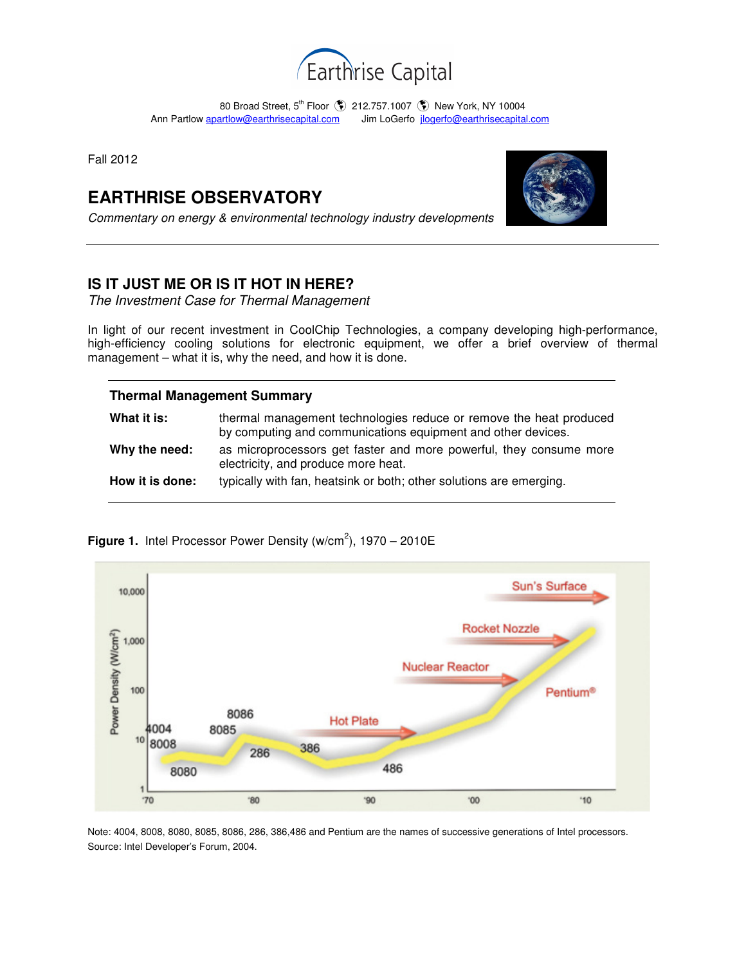

80 Broad Street, 5<sup>th</sup> Floor **(\$)** 212.757.1007 (\$) New York, NY 10004 Ann Partlow apartlow@earthrisecapital.comJim LoGerfo jlogerfo@earthrisecapital.com

Fall 2012

# **EARTHRISE OBSERVATORY**

Commentary on energy & environmental technology industry developments



### **IS IT JUST ME OR IS IT HOT IN HERE?**

The Investment Case for Thermal Management

In light of our recent investment in CoolChip Technologies, a company developing high-performance, high-efficiency cooling solutions for electronic equipment, we offer a brief overview of thermal management – what it is, why the need, and how it is done.

## **Thermal Management Summary**

| What it is:     | thermal management technologies reduce or remove the heat produced<br>by computing and communications equipment and other devices. |
|-----------------|------------------------------------------------------------------------------------------------------------------------------------|
| Why the need:   | as microprocessors get faster and more powerful, they consume more<br>electricity, and produce more heat.                          |
| How it is done: | typically with fan, heatsink or both; other solutions are emerging.                                                                |

**Figure 1.** Intel Processor Power Density (w/cm<sup>2</sup>),  $1970 - 2010E$ 



Note: 4004, 8008, 8080, 8085, 8086, 286, 386,486 and Pentium are the names of successive generations of Intel processors. Source: Intel Developer's Forum, 2004.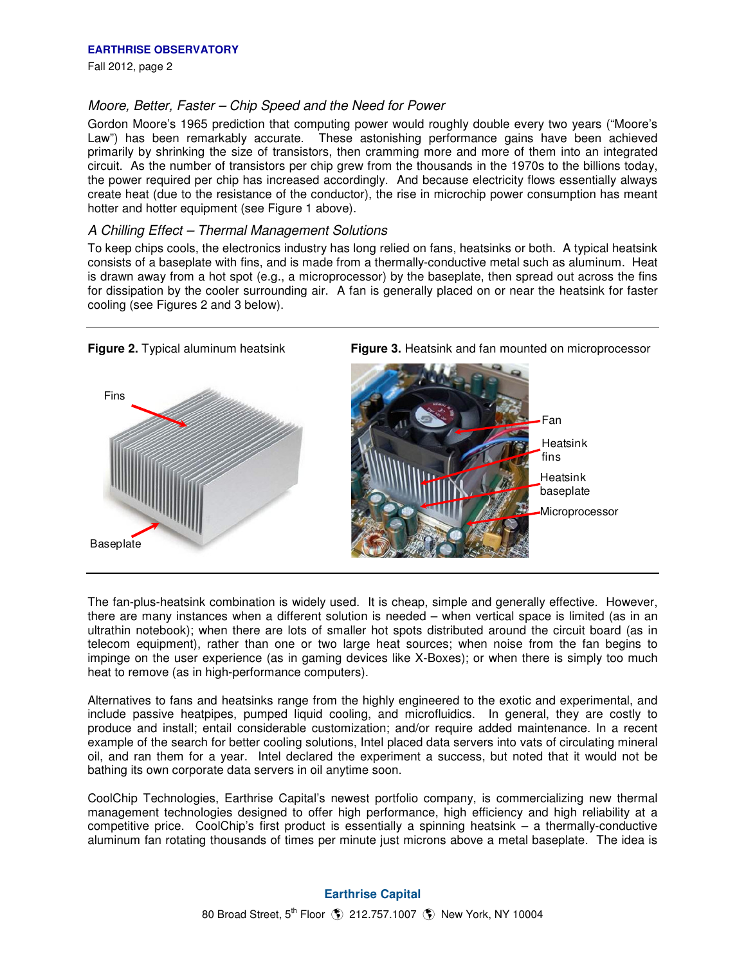Fall 2012, page 2

#### Moore, Better, Faster – Chip Speed and the Need for Power

Gordon Moore's 1965 prediction that computing power would roughly double every two years ("Moore's Law") has been remarkably accurate. These astonishing performance gains have been achieved primarily by shrinking the size of transistors, then cramming more and more of them into an integrated circuit. As the number of transistors per chip grew from the thousands in the 1970s to the billions today, the power required per chip has increased accordingly. And because electricity flows essentially always create heat (due to the resistance of the conductor), the rise in microchip power consumption has meant hotter and hotter equipment (see Figure 1 above).

#### A Chilling Effect – Thermal Management Solutions

To keep chips cools, the electronics industry has long relied on fans, heatsinks or both. A typical heatsink consists of a baseplate with fins, and is made from a thermally-conductive metal such as aluminum. Heat is drawn away from a hot spot (e.g., a microprocessor) by the baseplate, then spread out across the fins for dissipation by the cooler surrounding air. A fan is generally placed on or near the heatsink for faster cooling (see Figures 2 and 3 below).



The fan-plus-heatsink combination is widely used. It is cheap, simple and generally effective. However, there are many instances when a different solution is needed – when vertical space is limited (as in an ultrathin notebook); when there are lots of smaller hot spots distributed around the circuit board (as in telecom equipment), rather than one or two large heat sources; when noise from the fan begins to impinge on the user experience (as in gaming devices like X-Boxes); or when there is simply too much heat to remove (as in high-performance computers).

Alternatives to fans and heatsinks range from the highly engineered to the exotic and experimental, and include passive heatpipes, pumped liquid cooling, and microfluidics. In general, they are costly to produce and install; entail considerable customization; and/or require added maintenance. In a recent example of the search for better cooling solutions, Intel placed data servers into vats of circulating mineral oil, and ran them for a year. Intel declared the experiment a success, but noted that it would not be bathing its own corporate data servers in oil anytime soon.

CoolChip Technologies, Earthrise Capital's newest portfolio company, is commercializing new thermal management technologies designed to offer high performance, high efficiency and high reliability at a competitive price. CoolChip's first product is essentially a spinning heatsink – a thermally-conductive aluminum fan rotating thousands of times per minute just microns above a metal baseplate. The idea is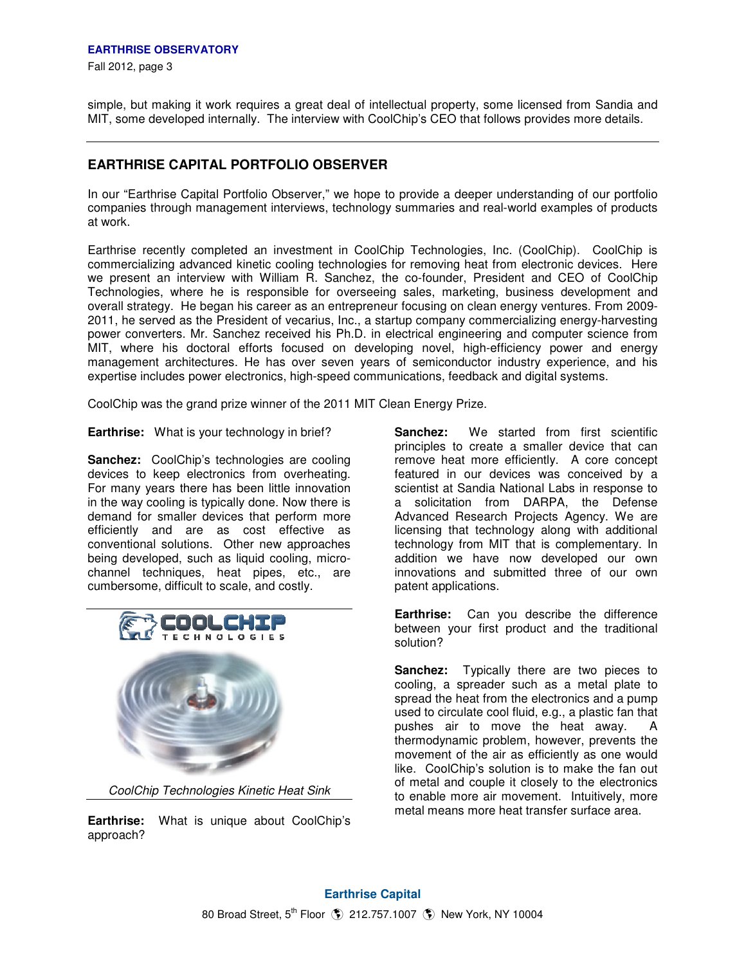Fall 2012, page 3

simple, but making it work requires a great deal of intellectual property, some licensed from Sandia and MIT, some developed internally. The interview with CoolChip's CEO that follows provides more details.

### **EARTHRISE CAPITAL PORTFOLIO OBSERVER**

In our "Earthrise Capital Portfolio Observer," we hope to provide a deeper understanding of our portfolio companies through management interviews, technology summaries and real-world examples of products at work.

Earthrise recently completed an investment in CoolChip Technologies, Inc. (CoolChip). CoolChip is commercializing advanced kinetic cooling technologies for removing heat from electronic devices. Here we present an interview with William R. Sanchez, the co-founder, President and CEO of CoolChip Technologies, where he is responsible for overseeing sales, marketing, business development and overall strategy. He began his career as an entrepreneur focusing on clean energy ventures. From 2009- 2011, he served as the President of vecarius, Inc., a startup company commercializing energy-harvesting power converters. Mr. Sanchez received his Ph.D. in electrical engineering and computer science from MIT, where his doctoral efforts focused on developing novel, high-efficiency power and energy management architectures. He has over seven years of semiconductor industry experience, and his expertise includes power electronics, high-speed communications, feedback and digital systems.

CoolChip was the grand prize winner of the 2011 MIT Clean Energy Prize.

**Earthrise:** What is your technology in brief?

**Sanchez:** CoolChip's technologies are cooling devices to keep electronics from overheating. For many years there has been little innovation in the way cooling is typically done. Now there is demand for smaller devices that perform more efficiently and are as cost effective as conventional solutions. Other new approaches being developed, such as liquid cooling, microchannel techniques, heat pipes, etc., are cumbersome, difficult to scale, and costly.



CoolChip Technologies Kinetic Heat Sink

**Earthrise:** What is unique about CoolChip's approach?

**Sanchez:** We started from first scientific principles to create a smaller device that can remove heat more efficiently. A core concept featured in our devices was conceived by a scientist at Sandia National Labs in response to a solicitation from DARPA, the Defense Advanced Research Projects Agency. We are licensing that technology along with additional technology from MIT that is complementary. In addition we have now developed our own innovations and submitted three of our own patent applications.

**Earthrise:** Can you describe the difference between your first product and the traditional solution?

**Sanchez:** Typically there are two pieces to cooling, a spreader such as a metal plate to spread the heat from the electronics and a pump used to circulate cool fluid, e.g., a plastic fan that pushes air to move the heat away. A thermodynamic problem, however, prevents the movement of the air as efficiently as one would like. CoolChip's solution is to make the fan out of metal and couple it closely to the electronics to enable more air movement. Intuitively, more metal means more heat transfer surface area.